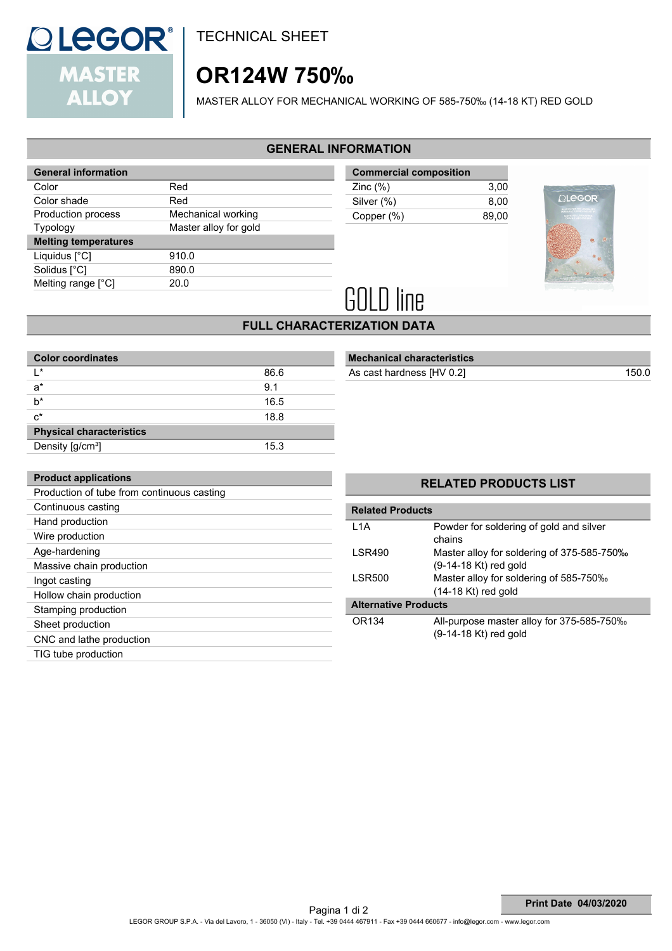

**Product applications**

Continuous casting Hand production Wire production Age-hardening

Ingot casting

Massive chain production

Hollow chain production Stamping production Sheet production

CNC and lathe production TIG tube production

Production of tube from continuous casting

TECHNICAL SHEET

# **OR124W 750‰**

MASTER ALLOY FOR MECHANICAL WORKING OF 585-750‰ (14-18 KT) RED GOLD

## **GENERAL INFORMATION**

| <b>General information</b>  |                       |
|-----------------------------|-----------------------|
| Color                       | Red                   |
| Color shade                 | Red                   |
| Production process          | Mechanical working    |
| <b>Typology</b>             | Master alloy for gold |
| <b>Melting temperatures</b> |                       |
| Liquidus [°C]               | 910.0                 |
| Solidus [°C]                | 890.0                 |
| Melting range $[^{\circ}C]$ | 20.0                  |
|                             |                       |

| <b>Commercial composition</b> |       |  |  |
|-------------------------------|-------|--|--|
| Zinc $(\%)$                   | 3.00  |  |  |
| Silver (%)                    | 8.00  |  |  |
| Copper (%)                    | 89.00 |  |  |



# **GOLD line**

## **FULL CHARACTERIZATION DATA**

| <b>Color coordinates</b>              |      |  |  |  |
|---------------------------------------|------|--|--|--|
| $\mathsf{I}^*$                        | 86.6 |  |  |  |
| $a^*$                                 | 9.1  |  |  |  |
| h*                                    | 16.5 |  |  |  |
| $c^*$                                 | 18.8 |  |  |  |
| <b>Physical characteristics</b>       |      |  |  |  |
| Density $\left[\frac{g}{cm^3}\right]$ | 15.3 |  |  |  |

| <b>Mechanical characteristics</b> |  |  |  |  |
|-----------------------------------|--|--|--|--|
|                                   |  |  |  |  |

As cast hardness [HV 0.2] 150.0

|                         | <b>RELATED PRODUCTS LIST</b>                                          |  |  |  |
|-------------------------|-----------------------------------------------------------------------|--|--|--|
| <b>Related Products</b> |                                                                       |  |  |  |
| 1 1 A                   | Powder for soldering of gold and silver<br>chains                     |  |  |  |
| LSR490                  | Master alloy for soldering of 375-585-750‰<br>$(9-14-18$ Kt) red gold |  |  |  |
| LSR500                  | Master alloy for soldering of 585-750‰<br>$(14-18$ Kt) red gold       |  |  |  |
| Altavnativa Dvadusta    |                                                                       |  |  |  |

#### **Alternative Products**

**Related** 

| OR134 | All-purpose master alloy for 375-585-750‰ |
|-------|-------------------------------------------|
|       | $(9-14-18$ Kt) red gold                   |